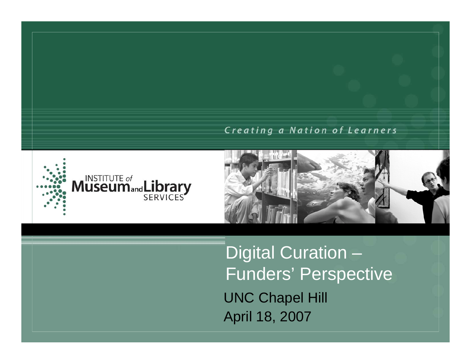#### Creating a Nation of Learners





Digital Curation – Funders' Perspective UNC Chapel Hill April 18, 2007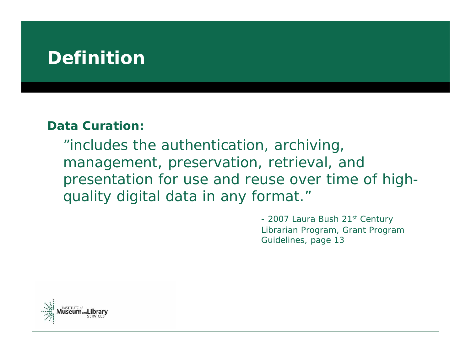#### **Definition**

#### **Data Curation:**

"includes the authentication, archiving, management, preservation, retrieval, and presentation for use and reuse over time of highquality digital data in any format."

> - 2007 Laura Bush 21st Century Librarian Program, Grant Program Guidelines, page 13

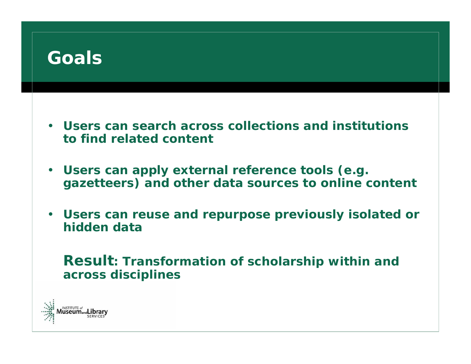

- **Users can search across collections and institutions to find related content**
- **Users can apply external reference tools (e.g. gazetteers) and other data sources to online content**
- **Users can reuse and repurpose previously isolated or hidden data**

**Result: Transformation of scholarship within and across disciplines**

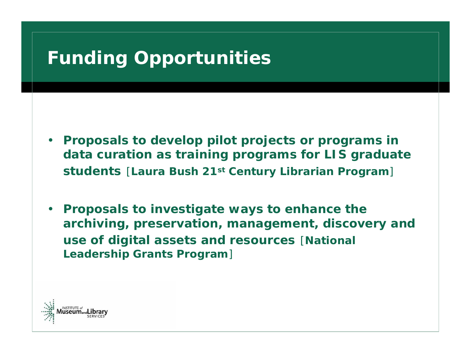## **Funding Opportunities**

- *Proposals to develop pilot projects or programs in data curation as training programs for LIS graduate students* [**Laura Bush 21st Century Librarian Program**]
- *Proposals to investigate ways to enhance the archiving, preservation, management, discovery and use of digital assets and resources* [**National Leadership Grants Program**]

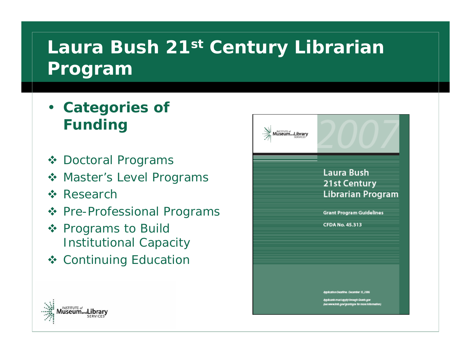### **Laura Bush 21st Century Librarian Program**

- **Categories of Funding**
- Doctoral Programs
- **❖ Master's Level Programs**
- **☆ Research**
- ❖ Pre-Professional Programs
- ❖ Programs to Build Institutional Capacity
- **❖ Continuing Education**



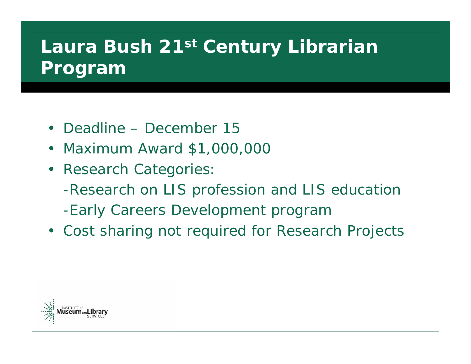## **Laura Bush 21st Century Librarian Program**

- Deadline December 15
- Maximum Award \$1,000,000
- Research Categories:
	- -Research on LIS profession and LIS education
	- -Early Careers Development program
- Cost sharing not required for Research Projects

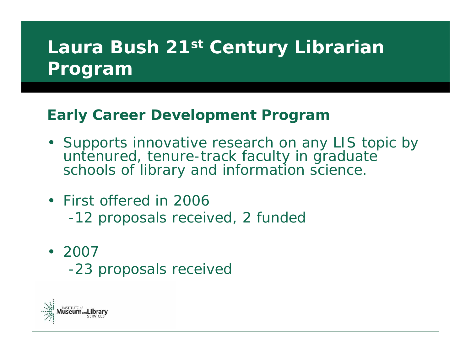## **Laura Bush 21st Century Librarian Program**

#### **Early Career Development Program**

- Supports innovative research on any LIS topic by untenured, tenure-track faculty in graduate schools of library and information science.
- First offered in 2006
	- -12 proposals received, 2 funded
- 2007
	- -23 proposals received

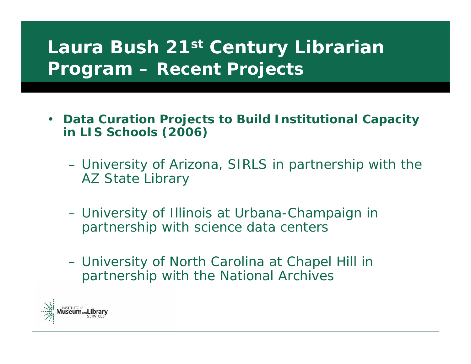## **Laura Bush 21st Century Librarian Program – Recent Projects**

- **Data Curation Projects to Build Institutional Capacity in LIS Schools (2006)**
	- – University of Arizona, SIRLS in partnership with the AZ State Library
	- – University of Illinois at Urbana-Champaign in partnership with science data centers
	- – University of North Carolina at Chapel Hill in partnership with the National Archives

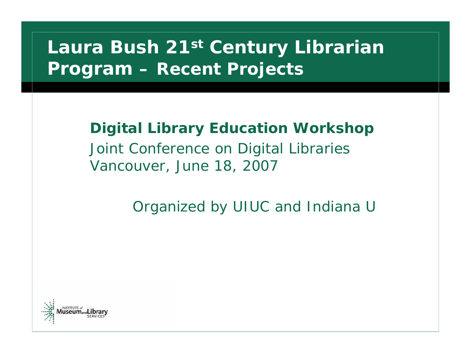#### **Laura Bush 21st Century Librarian Program – Recent Projects**

#### **Digital Library Education Workshop**

Joint Conference on Digital Libraries Vancouver, June 18, 2007

*Organized by UIUC and Indiana U*

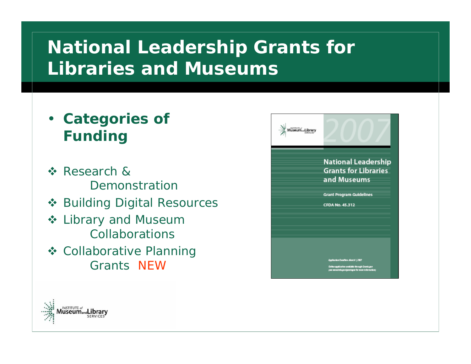## **National Leadership Grants for Libraries and Museums**

- **Categories of Funding**
- **☆ Research &** Demonstration
- **❖ Building Digital Resources**
- ❖ Library and Museum Collaborations
- **❖ Collaborative Planning** Grants NEW

| <b>National Leadership</b><br><b>Grants for Libraries</b><br>and Museums                              |
|-------------------------------------------------------------------------------------------------------|
| <b>Grant Program Guidelines</b><br>CFDA No. 45.312                                                    |
| Application Deadliers March 1, 2007                                                                   |
| Online application available through Grants gov-<br>par www.imb.gov/grant.gov for more in firms (and) |

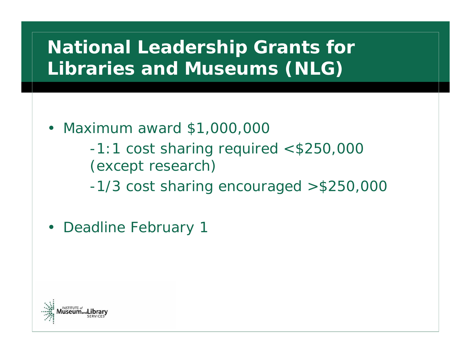## **National Leadership Grants for Libraries and Museums (NLG)**

- Maximum award \$1,000,000
	- -1:1 cost sharing required <\$250,000 (except research)
	- -1/3 cost sharing encouraged >\$250,000
- Deadline February 1

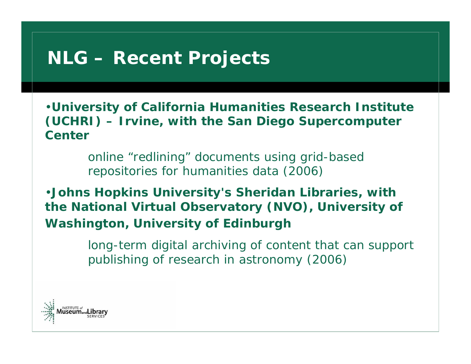#### **NLG – Recent Projects**

•**University of California Humanities Research Institute (UCHRI) – Irvine, with the San Diego Supercomputer Center**

> online "redlining" documents using grid-based repositories for humanities data (2006)

•**Johns Hopkins University's Sheridan Libraries, with the National Virtual Observatory (NVO), University of Washington, University of Edinburgh**

> long-term digital archiving of content that can support publishing of research in astronomy (2006)

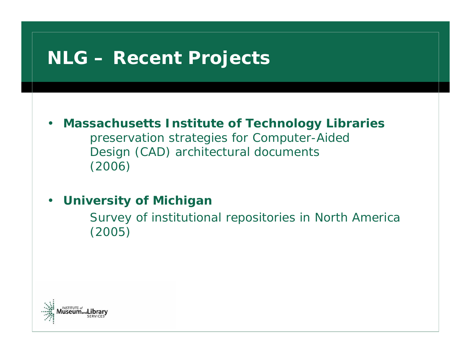#### **NLG – Recent Projects**

• **Massachusetts Institute of Technology Libraries** preservation strategies for Computer-Aided Design (CAD) architectural documents (2006)

#### •**University of Michigan**

Survey of institutional repositories in North America (2005)

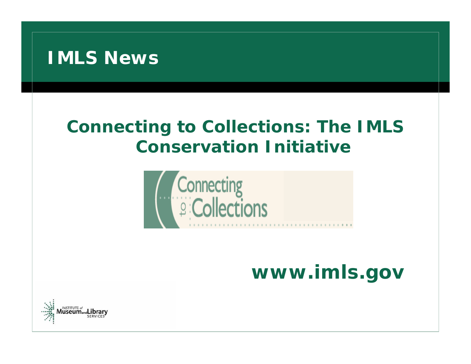

#### *Connecting to Collections: The IMLS Conservation Initiative*



# **www.imls.gov**

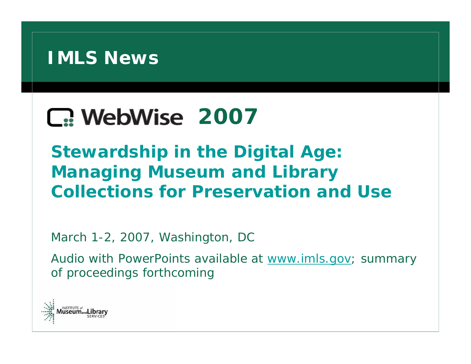

# **1. WebWise 2007**

**Stewardship in the Digital Age: Managing Museum and Library Collections for Preservation and Use**

March 1-2, 2007, Washington, DC

Audio with PowerPoints available at [www.imls.gov](http://www.imls.gov/); summary of proceedings forthcoming

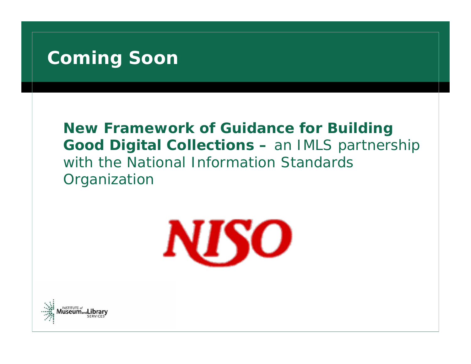#### **Coming Soon**

#### **New Framework of Guidance for Building Good Digital Collections –** an IMLS partnership with the National Information Standards **Organization**